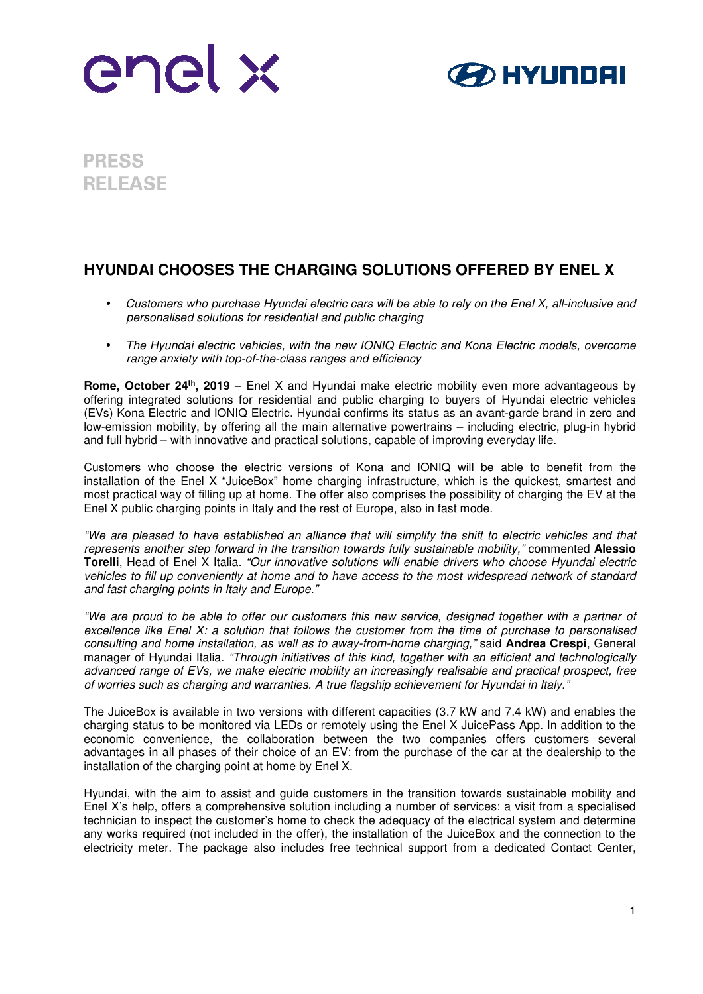



**PRESS RELEASE** 

## **HYUNDAI CHOOSES THE CHARGING SOLUTIONS OFFERED BY ENEL X**

- *Customers who purchase Hyundai electric cars will be able to rely on the Enel X, all-inclusive and personalised solutions for residential and public charging*
- *The Hyundai electric vehicles, with the new IONIQ Electric and Kona Electric models, overcome range anxiety with top-of-the-class ranges and efficiency*

**Rome, October 24th, 2019** – Enel X and Hyundai make electric mobility even more advantageous by offering integrated solutions for residential and public charging to buyers of Hyundai electric vehicles (EVs) Kona Electric and IONIQ Electric. Hyundai confirms its status as an avant-garde brand in zero and low-emission mobility, by offering all the main alternative powertrains – including electric, plug-in hybrid and full hybrid – with innovative and practical solutions, capable of improving everyday life.

Customers who choose the electric versions of Kona and IONIQ will be able to benefit from the installation of the Enel X "JuiceBox" home charging infrastructure, which is the quickest, smartest and most practical way of filling up at home. The offer also comprises the possibility of charging the EV at the Enel X public charging points in Italy and the rest of Europe, also in fast mode.

*"We are pleased to have established an alliance that will simplify the shift to electric vehicles and that represents another step forward in the transition towards fully sustainable mobility,"* commented **Alessio Torelli**, Head of Enel X Italia*. "Our innovative solutions will enable drivers who choose Hyundai electric vehicles to fill up conveniently at home and to have access to the most widespread network of standard and fast charging points in Italy and Europe."* 

*"We are proud to be able to offer our customers this new service, designed together with a partner of excellence like Enel X: a solution that follows the customer from the time of purchase to personalised consulting and home installation, as well as to away-from-home charging,"* said **Andrea Crespi**, General manager of Hyundai Italia. *"Through initiatives of this kind, together with an efficient and technologically advanced range of EVs, we make electric mobility an increasingly realisable and practical prospect, free of worries such as charging and warranties. A true flagship achievement for Hyundai in Italy."* 

The JuiceBox is available in two versions with different capacities (3.7 kW and 7.4 kW) and enables the charging status to be monitored via LEDs or remotely using the Enel X JuicePass App. In addition to the economic convenience, the collaboration between the two companies offers customers several advantages in all phases of their choice of an EV: from the purchase of the car at the dealership to the installation of the charging point at home by Enel X.

Hyundai, with the aim to assist and guide customers in the transition towards sustainable mobility and Enel X's help, offers a comprehensive solution including a number of services: a visit from a specialised technician to inspect the customer's home to check the adequacy of the electrical system and determine any works required (not included in the offer), the installation of the JuiceBox and the connection to the electricity meter. The package also includes free technical support from a dedicated Contact Center,